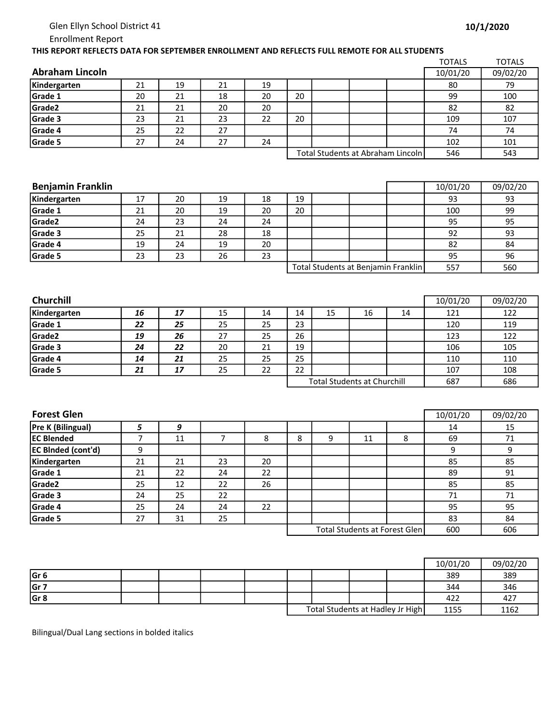## Glen Ellyn School District 41

Enrollment Report

## THIS REPORT REFLECTS DATA FOR SEPTEMBER ENROLLMENT AND REFLECTS FULL REMOTE FOR ALL STUDENTS

|                        |    |    |    |    |    |                                   |     | <b>TOTALS</b> | <b>TOTALS</b> |
|------------------------|----|----|----|----|----|-----------------------------------|-----|---------------|---------------|
| <b>Abraham Lincoln</b> |    |    |    |    |    |                                   |     | 10/01/20      | 09/02/20      |
| Kindergarten           | 21 | 19 | 21 | 19 |    |                                   |     | 80            | 79            |
| Grade 1                | 20 | 21 | 18 | 20 | 20 |                                   |     | 99            | 100           |
| Grade2                 | 21 | 21 | 20 | 20 |    |                                   |     | 82            | 82            |
| Grade 3                | 23 | 21 | 23 | 22 | 20 |                                   |     | 109           | 107           |
| Grade 4                | 25 | 22 | 27 |    |    |                                   |     | 74            | 74            |
| Grade 5                | 27 | 24 | 27 | 24 |    |                                   |     | 102           | 101           |
|                        |    |    |    |    |    | Total Students at Abraham Lincoln | 546 | 543           |               |
|                        |    |    |    |    |    |                                   |     |               |               |

| <b>Benjamin Franklin</b> |    |    |    |    |    |                                     | 10/01/20 | 09/02/20 |
|--------------------------|----|----|----|----|----|-------------------------------------|----------|----------|
| Kindergarten             | 17 | 20 | 19 | 18 | 19 |                                     | 93       | 93       |
| Grade 1                  | 21 | 20 | 19 | 20 | 20 |                                     | 100      | 99       |
| Grade2                   | 24 | 23 | 24 | 24 |    |                                     | 95       | 95       |
| Grade 3                  | 25 | 21 | 28 | 18 |    |                                     | 92       | 93       |
| Grade 4                  | 19 | 24 | 19 | 20 |    |                                     | 82       | 84       |
| Grade 5                  | 23 | 23 | 26 | 23 |    |                                     | 95       | 96       |
|                          |    |    |    |    |    | Total Students at Benjamin Franklin | 557      | 560      |

| <b>Churchill</b>   |    |    |    |    |                                    |    |    |    | 10/01/20 | 09/02/20 |
|--------------------|----|----|----|----|------------------------------------|----|----|----|----------|----------|
| Kindergarten       | 16 | 17 | 15 | 14 | 14                                 | 15 | 16 | 14 | 121      | 122      |
| Grade 1            | 22 | 25 | 25 | 25 | 23                                 |    |    |    | 120      | 119      |
| Grade <sub>2</sub> | 19 | 26 | 27 | 25 | 26                                 |    |    |    | 123      | 122      |
| Grade 3            | 24 | 22 | 20 | 21 | 19                                 |    |    |    | 106      | 105      |
| Grade 4            | 14 | 21 | 25 | 25 | 25                                 |    |    |    | 110      | 110      |
| Grade 5            | 21 | 17 | 25 | 22 | 22                                 |    |    |    | 107      | 108      |
|                    |    |    |    |    | <b>Total Students at Churchill</b> |    |    |    | 687      | 686      |

| <b>Forest Glen</b>        |    |    |    |    |   |   |                                       |     |     | 09/02/20 |
|---------------------------|----|----|----|----|---|---|---------------------------------------|-----|-----|----------|
| Pre K (Bilingual)         | כ  | 9  |    |    |   |   |                                       |     | 14  | 15       |
| <b>IEC Blended</b>        |    | 11 |    | 8  | 8 | 9 | 11                                    | 8   | 69  | 71       |
| <b>EC Binded (cont'd)</b> | 9  |    |    |    |   |   |                                       |     | 9   | 9        |
| Kindergarten              | 21 | 21 | 23 | 20 |   |   |                                       |     | 85  | 85       |
| Grade 1                   | 21 | 22 | 24 | 22 |   |   |                                       |     | 89  | 91       |
| Grade2                    | 25 | 12 | 22 | 26 |   |   |                                       |     | 85  | 85       |
| Grade 3                   | 24 | 25 | 22 |    |   |   |                                       |     | 71  | 71       |
| Grade 4                   | 25 | 24 | 24 | 22 |   |   |                                       |     | 95  | 95       |
| Grade 5                   | 27 | 31 | 25 |    |   |   |                                       |     | 83  | 84       |
|                           |    |    |    |    |   |   | <b>Total Students at Forest Glen]</b> | 600 | 606 |          |

|                 |  |  |  |                                  | 10/01/20 | 09/02/20 |
|-----------------|--|--|--|----------------------------------|----------|----------|
| Gr <sub>6</sub> |  |  |  |                                  | 389      | 389      |
| Gr 7            |  |  |  |                                  | 344      | 346      |
| Gr 8            |  |  |  |                                  | 422      | 427      |
|                 |  |  |  | Total Students at Hadley Jr High | 1155     | 1162     |

Bilingual/Dual Lang sections in bolded italics